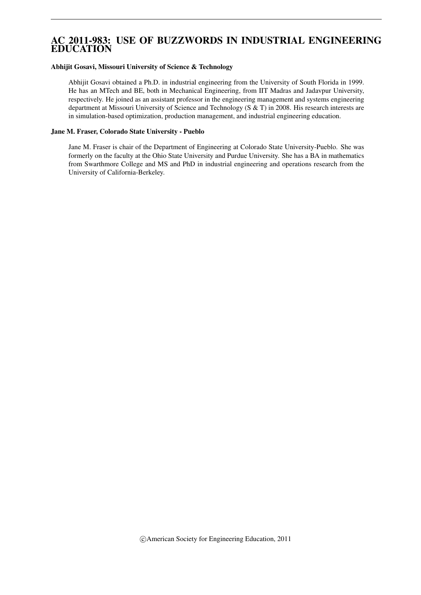# AC 2011-983: USE OF BUZZWORDS IN INDUSTRIAL ENGINEERING EDUCATION

#### Abhijit Gosavi, Missouri University of Science & Technology

Abhijit Gosavi obtained a Ph.D. in industrial engineering from the University of South Florida in 1999. He has an MTech and BE, both in Mechanical Engineering, from IIT Madras and Jadavpur University, respectively. He joined as an assistant professor in the engineering management and systems engineering department at Missouri University of Science and Technology (S & T) in 2008. His research interests are in simulation-based optimization, production management, and industrial engineering education.

#### Jane M. Fraser, Colorado State University - Pueblo

Jane M. Fraser is chair of the Department of Engineering at Colorado State University-Pueblo. She was formerly on the faculty at the Ohio State University and Purdue University. She has a BA in mathematics from Swarthmore College and MS and PhD in industrial engineering and operations research from the University of California-Berkeley.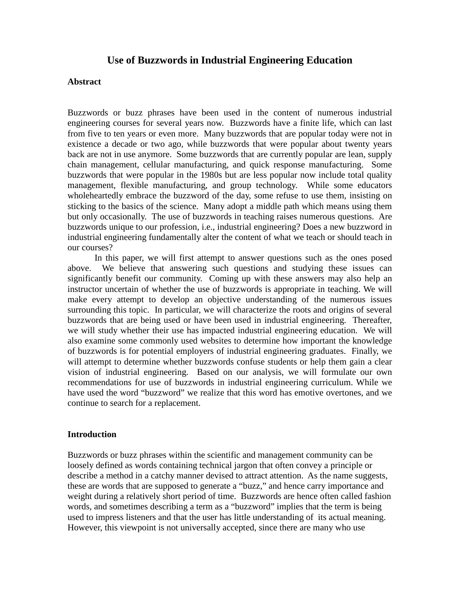# **Use of Buzzwords in Industrial Engineering Education**

#### **Abstract**

Buzzwords or buzz phrases have been used in the content of numerous industrial engineering courses for several years now. Buzzwords have a finite life, which can last from five to ten years or even more. Many buzzwords that are popular today were not in existence a decade or two ago, while buzzwords that were popular about twenty years back are not in use anymore. Some buzzwords that are currently popular are lean, supply chain management, cellular manufacturing, and quick response manufacturing. Some buzzwords that were popular in the 1980s but are less popular now include total quality management, flexible manufacturing, and group technology. While some educators wholeheartedly embrace the buzzword of the day, some refuse to use them, insisting on sticking to the basics of the science. Many adopt a middle path which means using them but only occasionally. The use of buzzwords in teaching raises numerous questions. Are buzzwords unique to our profession, i.e., industrial engineering? Does a new buzzword in industrial engineering fundamentally alter the content of what we teach or should teach in our courses?

In this paper, we will first attempt to answer questions such as the ones posed above. We believe that answering such questions and studying these issues can significantly benefit our community. Coming up with these answers may also help an instructor uncertain of whether the use of buzzwords is appropriate in teaching. We will make every attempt to develop an objective understanding of the numerous issues surrounding this topic. In particular, we will characterize the roots and origins of several buzzwords that are being used or have been used in industrial engineering. Thereafter, we will study whether their use has impacted industrial engineering education. We will also examine some commonly used websites to determine how important the knowledge of buzzwords is for potential employers of industrial engineering graduates. Finally, we will attempt to determine whether buzzwords confuse students or help them gain a clear vision of industrial engineering. Based on our analysis, we will formulate our own recommendations for use of buzzwords in industrial engineering curriculum. While we have used the word "buzzword" we realize that this word has emotive overtones, and we continue to search for a replacement.

## **Introduction**

Buzzwords or buzz phrases within the scientific and management community can be loosely defined as words containing technical jargon that often convey a principle or describe a method in a catchy manner devised to attract attention. As the name suggests, these are words that are supposed to generate a "buzz," and hence carry importance and weight during a relatively short period of time. Buzzwords are hence often called fashion words, and sometimes describing a term as a "buzzword" implies that the term is being used to impress listeners and that the user has little understanding of its actual meaning. However, this viewpoint is not universally accepted, since there are many who use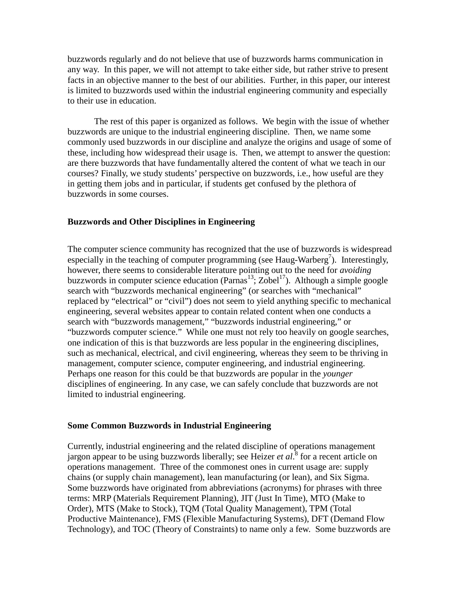buzzwords regularly and do not believe that use of buzzwords harms communication in any way. In this paper, we will not attempt to take either side, but rather strive to present facts in an objective manner to the best of our abilities. Further, in this paper, our interest is limited to buzzwords used within the industrial engineering community and especially to their use in education.

The rest of this paper is organized as follows. We begin with the issue of whether buzzwords are unique to the industrial engineering discipline. Then, we name some commonly used buzzwords in our discipline and analyze the origins and usage of some of these, including how widespread their usage is. Then, we attempt to answer the question: are there buzzwords that have fundamentally altered the content of what we teach in our courses? Finally, we study students' perspective on buzzwords, i.e., how useful are they in getting them jobs and in particular, if students get confused by the plethora of buzzwords in some courses.

#### **Buzzwords and Other Disciplines in Engineering**

The computer science community has recognized that the use of buzzwords is widespread especially in the teaching of computer programming (see Haug-Warberg<sup>7</sup>). Interestingly, however, there seems to considerable literature pointing out to the need for *avoiding* buzzwords in computer science education (Parnas<sup>13</sup>; Zobel<sup>17</sup>). Although a simple google search with "buzzwords mechanical engineering" (or searches with "mechanical" replaced by "electrical" or "civil") does not seem to yield anything specific to mechanical engineering, several websites appear to contain related content when one conducts a search with "buzzwords management," "buzzwords industrial engineering," or "buzzwords computer science." While one must not rely too heavily on google searches, one indication of this is that buzzwords are less popular in the engineering disciplines, such as mechanical, electrical, and civil engineering, whereas they seem to be thriving in management, computer science, computer engineering, and industrial engineering. Perhaps one reason for this could be that buzzwords are popular in the *younger* disciplines of engineering. In any case, we can safely conclude that buzzwords are not limited to industrial engineering.

#### **Some Common Buzzwords in Industrial Engineering**

Currently, industrial engineering and the related discipline of operations management jargon appear to be using buzzwords liberally; see Heizer *et al*. <sup>8</sup> for a recent article on operations management. Three of the commonest ones in current usage are: supply chains (or supply chain management), lean manufacturing (or lean), and Six Sigma. Some buzzwords have originated from abbreviations (acronyms) for phrases with three terms: MRP (Materials Requirement Planning), JIT (Just In Time), MTO (Make to Order), MTS (Make to Stock), TQM (Total Quality Management), TPM (Total Productive Maintenance), FMS (Flexible Manufacturing Systems), DFT (Demand Flow Technology), and TOC (Theory of Constraints) to name only a few. Some buzzwords are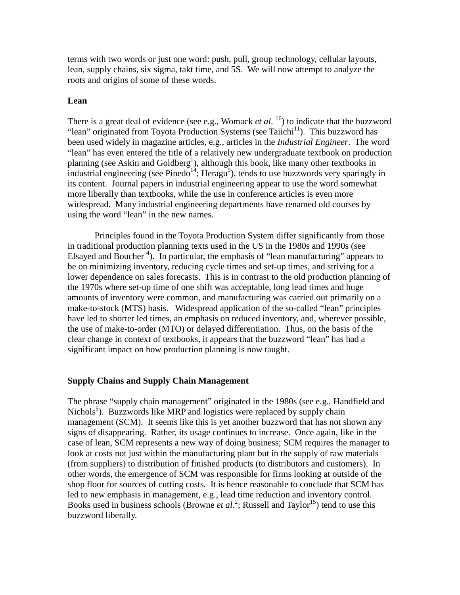terms with two words or just one word: push, pull, group technology, cellular layouts, lean, supply chains, six sigma, takt time, and 5S. We will now attempt to analyze the roots and origins of some of these words.

## **Lean**

There is a great deal of evidence (see e.g., Womack *et al.* <sup>16</sup>) to indicate that the buzzword "lean" originated from Toyota Production Systems (see Taiichi<sup>11</sup>). This buzzword has been used widely in magazine articles, e.g., articles in the *Industrial Engineer*. The word "lean" has even entered the title of a relatively new undergraduate textbook on production planning (see Askin and Goldberg<sup>1</sup>), although this book, like many other textbooks in industrial engineering (see Pinedo $14$ ; Heragu<sup>9</sup>), tends to use buzzwords very sparingly in its content. Journal papers in industrial engineering appear to use the word somewhat more liberally than textbooks, while the use in conference articles is even more widespread. Many industrial engineering departments have renamed old courses by using the word "lean" in the new names.

Principles found in the Toyota Production System differ significantly from those in traditional production planning texts used in the US in the 1980s and 1990s (see Elsayed and Boucher<sup>4</sup>). In particular, the emphasis of "lean manufacturing" appears to be on minimizing inventory, reducing cycle times and set-up times, and striving for a lower dependence on sales forecasts. This is in contrast to the old production planning of the 1970s where set-up time of one shift was acceptable, long lead times and huge amounts of inventory were common, and manufacturing was carried out primarily on a make-to-stock (MTS) basis. Widespread application of the so-called "lean" principles have led to shorter led times, an emphasis on reduced inventory, and, wherever possible, the use of make-to-order (MTO) or delayed differentiation. Thus, on the basis of the clear change in context of textbooks, it appears that the buzzword "lean" has had a significant impact on how production planning is now taught.

## **Supply Chains and Supply Chain Management**

The phrase "supply chain management" originated in the 1980s (see e.g., Handfield and Nichols<sup>5</sup>). Buzzwords like MRP and logistics were replaced by supply chain management (SCM). It seems like this is yet another buzzword that has not shown any signs of disappearing. Rather, its usage continues to increase. Once again, like in the case of lean, SCM represents a new way of doing business; SCM requires the manager to look at costs not just within the manufacturing plant but in the supply of raw materials (from suppliers) to distribution of finished products (to distributors and customers). In other words, the emergence of SCM was responsible for firms looking at outside of the shop floor for sources of cutting costs. It is hence reasonable to conclude that SCM has led to new emphasis in management, e.g., lead time reduction and inventory control. Books used in business schools (Browne *et al.*<sup>2</sup>; Russell and Taylor<sup>15</sup>) tend to use this buzzword liberally.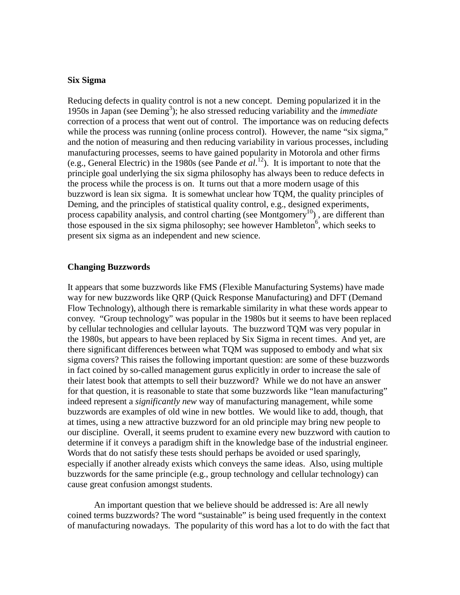#### **Six Sigma**

Reducing defects in quality control is not a new concept. Deming popularized it in the 1950s in Japan (see Deming<sup>3</sup>); he also stressed reducing variability and the *immediate* correction of a process that went out of control. The importance was on reducing defects while the process was running (online process control). However, the name "six sigma," and the notion of measuring and then reducing variability in various processes, including manufacturing processes, seems to have gained popularity in Motorola and other firms (e.g., General Electric) in the 1980s (see Pande *et al*. 12). It is important to note that the principle goal underlying the six sigma philosophy has always been to reduce defects in the process while the process is on. It turns out that a more modern usage of this buzzword is lean six sigma. It is somewhat unclear how TQM, the quality principles of Deming, and the principles of statistical quality control, e.g., designed experiments, process capability analysis, and control charting (see Montgomery<sup>10</sup>), are different than those espoused in the six sigma philosophy; see however Hambleton<sup>6</sup>, which seeks to present six sigma as an independent and new science.

#### **Changing Buzzwords**

It appears that some buzzwords like FMS (Flexible Manufacturing Systems) have made way for new buzzwords like QRP (Quick Response Manufacturing) and DFT (Demand Flow Technology), although there is remarkable similarity in what these words appear to convey. "Group technology" was popular in the 1980s but it seems to have been replaced by cellular technologies and cellular layouts. The buzzword TQM was very popular in the 1980s, but appears to have been replaced by Six Sigma in recent times. And yet, are there significant differences between what TQM was supposed to embody and what six sigma covers? This raises the following important question: are some of these buzzwords in fact coined by so-called management gurus explicitly in order to increase the sale of their latest book that attempts to sell their buzzword? While we do not have an answer for that question, it is reasonable to state that some buzzwords like "lean manufacturing" indeed represent a *significantly new* way of manufacturing management, while some buzzwords are examples of old wine in new bottles. We would like to add, though, that at times, using a new attractive buzzword for an old principle may bring new people to our discipline. Overall, it seems prudent to examine every new buzzword with caution to determine if it conveys a paradigm shift in the knowledge base of the industrial engineer. Words that do not satisfy these tests should perhaps be avoided or used sparingly, especially if another already exists which conveys the same ideas. Also, using multiple buzzwords for the same principle (e.g., group technology and cellular technology) can cause great confusion amongst students.

An important question that we believe should be addressed is: Are all newly coined terms buzzwords? The word "sustainable" is being used frequently in the context of manufacturing nowadays. The popularity of this word has a lot to do with the fact that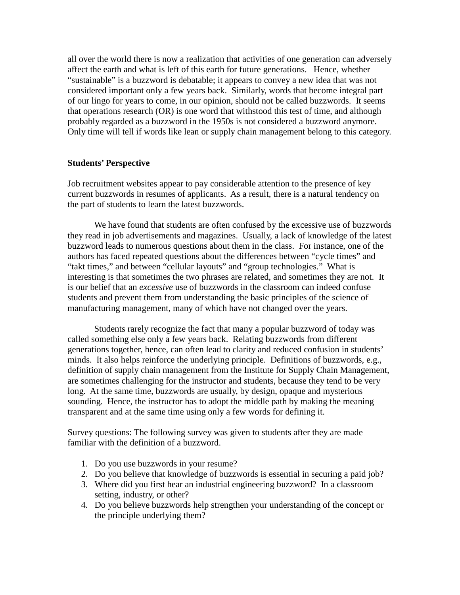all over the world there is now a realization that activities of one generation can adversely affect the earth and what is left of this earth for future generations. Hence, whether "sustainable" is a buzzword is debatable; it appears to convey a new idea that was not considered important only a few years back. Similarly, words that become integral part of our lingo for years to come, in our opinion, should not be called buzzwords. It seems that operations research (OR) is one word that withstood this test of time, and although probably regarded as a buzzword in the 1950s is not considered a buzzword anymore. Only time will tell if words like lean or supply chain management belong to this category.

## **Students' Perspective**

Job recruitment websites appear to pay considerable attention to the presence of key current buzzwords in resumes of applicants. As a result, there is a natural tendency on the part of students to learn the latest buzzwords.

We have found that students are often confused by the excessive use of buzzwords they read in job advertisements and magazines. Usually, a lack of knowledge of the latest buzzword leads to numerous questions about them in the class. For instance, one of the authors has faced repeated questions about the differences between "cycle times" and "takt times," and between "cellular layouts" and "group technologies." What is interesting is that sometimes the two phrases are related, and sometimes they are not. It is our belief that an *excessive* use of buzzwords in the classroom can indeed confuse students and prevent them from understanding the basic principles of the science of manufacturing management, many of which have not changed over the years.

Students rarely recognize the fact that many a popular buzzword of today was called something else only a few years back. Relating buzzwords from different generations together, hence, can often lead to clarity and reduced confusion in students' minds. It also helps reinforce the underlying principle. Definitions of buzzwords, e.g., definition of supply chain management from the Institute for Supply Chain Management, are sometimes challenging for the instructor and students, because they tend to be very long. At the same time, buzzwords are usually, by design, opaque and mysterious sounding. Hence, the instructor has to adopt the middle path by making the meaning transparent and at the same time using only a few words for defining it.

Survey questions: The following survey was given to students after they are made familiar with the definition of a buzzword.

- 1. Do you use buzzwords in your resume?
- 2. Do you believe that knowledge of buzzwords is essential in securing a paid job?
- 3. Where did you first hear an industrial engineering buzzword? In a classroom setting, industry, or other?
- 4. Do you believe buzzwords help strengthen your understanding of the concept or the principle underlying them?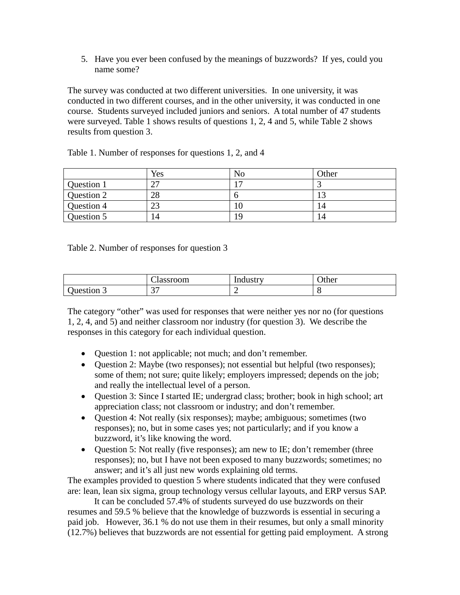5. Have you ever been confused by the meanings of buzzwords? If yes, could you name some?

The survey was conducted at two different universities. In one university, it was conducted in two different courses, and in the other university, it was conducted in one course. Students surveyed included juniors and seniors. A total number of 47 students were surveyed. Table 1 shows results of questions 1, 2, 4 and 5, while Table 2 shows results from question 3.

|            | Yes | No | Other |
|------------|-----|----|-------|
| Question 1 | ^¬  | −  |       |
| Question 2 | 28  |    | ⊥ J   |
| Question 4 | 23  |    | 14    |
| Question 5 |     | ۱۵ | 14    |

Table 1. Number of responses for questions 1, 2, and 4

Table 2. Number of responses for question 3

|                  | $\sim$<br>Classroom | Industry | Other |
|------------------|---------------------|----------|-------|
| Ouestion $\beta$ | n m<br>ັ            | ∽        |       |

The category "other" was used for responses that were neither yes nor no (for questions 1, 2, 4, and 5) and neither classroom nor industry (for question 3). We describe the responses in this category for each individual question.

- Question 1: not applicable; not much; and don't remember.
- Ouestion 2: Maybe (two responses); not essential but helpful (two responses); some of them; not sure; quite likely; employers impressed; depends on the job; and really the intellectual level of a person.
- Question 3: Since I started IE; undergrad class; brother; book in high school; art appreciation class; not classroom or industry; and don't remember.
- Question 4: Not really (six responses); maybe; ambiguous; sometimes (two responses); no, but in some cases yes; not particularly; and if you know a buzzword, it's like knowing the word.
- Question 5: Not really (five responses); am new to IE; don't remember (three responses); no, but I have not been exposed to many buzzwords; sometimes; no answer; and it's all just new words explaining old terms.

The examples provided to question 5 where students indicated that they were confused are: lean, lean six sigma, group technology versus cellular layouts, and ERP versus SAP.

It can be concluded 57.4% of students surveyed do use buzzwords on their resumes and 59.5 % believe that the knowledge of buzzwords is essential in securing a paid job. However, 36.1 % do not use them in their resumes, but only a small minority (12.7%) believes that buzzwords are not essential for getting paid employment. A strong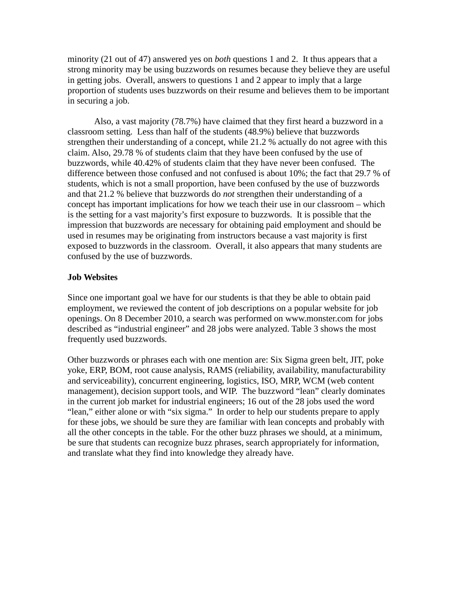minority (21 out of 47) answered yes on *both* questions 1 and 2. It thus appears that a strong minority may be using buzzwords on resumes because they believe they are useful in getting jobs. Overall, answers to questions 1 and 2 appear to imply that a large proportion of students uses buzzwords on their resume and believes them to be important in securing a job.

Also, a vast majority (78.7%) have claimed that they first heard a buzzword in a classroom setting. Less than half of the students (48.9%) believe that buzzwords strengthen their understanding of a concept, while 21.2 % actually do not agree with this claim. Also, 29.78 % of students claim that they have been confused by the use of buzzwords, while 40.42% of students claim that they have never been confused. The difference between those confused and not confused is about 10%; the fact that 29.7 % of students, which is not a small proportion, have been confused by the use of buzzwords and that 21.2 % believe that buzzwords do *not* strengthen their understanding of a concept has important implications for how we teach their use in our classroom – which is the setting for a vast majority's first exposure to buzzwords. It is possible that the impression that buzzwords are necessary for obtaining paid employment and should be used in resumes may be originating from instructors because a vast majority is first exposed to buzzwords in the classroom. Overall, it also appears that many students are confused by the use of buzzwords.

## **Job Websites**

Since one important goal we have for our students is that they be able to obtain paid employment, we reviewed the content of job descriptions on a popular website for job openings. On 8 December 2010, a search was performed on www.monster.com for jobs described as "industrial engineer" and 28 jobs were analyzed. Table 3 shows the most frequently used buzzwords.

Other buzzwords or phrases each with one mention are: Six Sigma green belt, JIT, poke yoke, ERP, BOM, root cause analysis, RAMS (reliability, availability, manufacturability and serviceability), concurrent engineering, logistics, ISO, MRP, WCM (web content management), decision support tools, and WIP. The buzzword "lean" clearly dominates in the current job market for industrial engineers; 16 out of the 28 jobs used the word "lean," either alone or with "six sigma." In order to help our students prepare to apply for these jobs, we should be sure they are familiar with lean concepts and probably with all the other concepts in the table. For the other buzz phrases we should, at a minimum, be sure that students can recognize buzz phrases, search appropriately for information, and translate what they find into knowledge they already have.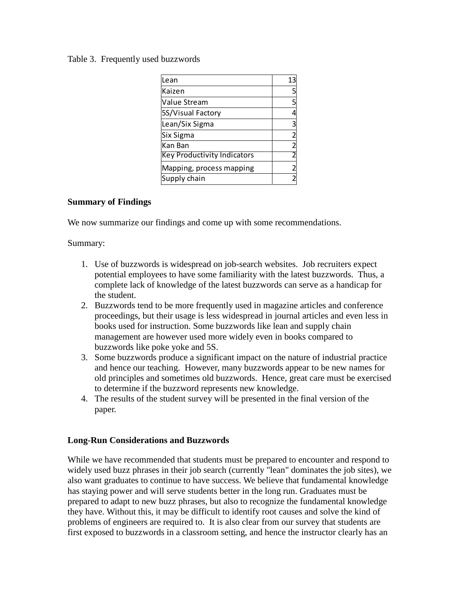## Table 3. Frequently used buzzwords

| Lean                               | 13             |
|------------------------------------|----------------|
| Kaizen                             | 5              |
| Value Stream                       | 5              |
| 5S/Visual Factory                  |                |
| Lean/Six Sigma                     | 3              |
| Six Sigma                          |                |
| Kan Ban                            | $\overline{2}$ |
| <b>Key Productivity Indicators</b> |                |
| Mapping, process mapping           |                |
| Supply chain                       |                |

## **Summary of Findings**

We now summarize our findings and come up with some recommendations.

## Summary:

- 1. Use of buzzwords is widespread on job-search websites. Job recruiters expect potential employees to have some familiarity with the latest buzzwords. Thus, a complete lack of knowledge of the latest buzzwords can serve as a handicap for the student.
- 2. Buzzwords tend to be more frequently used in magazine articles and conference proceedings, but their usage is less widespread in journal articles and even less in books used for instruction. Some buzzwords like lean and supply chain management are however used more widely even in books compared to buzzwords like poke yoke and 5S.
- 3. Some buzzwords produce a significant impact on the nature of industrial practice and hence our teaching. However, many buzzwords appear to be new names for old principles and sometimes old buzzwords. Hence, great care must be exercised to determine if the buzzword represents new knowledge.
- 4. The results of the student survey will be presented in the final version of the paper.

# **Long-Run Considerations and Buzzwords**

While we have recommended that students must be prepared to encounter and respond to widely used buzz phrases in their job search (currently "lean" dominates the job sites), we also want graduates to continue to have success. We believe that fundamental knowledge has staying power and will serve students better in the long run. Graduates must be prepared to adapt to new buzz phrases, but also to recognize the fundamental knowledge they have. Without this, it may be difficult to identify root causes and solve the kind of problems of engineers are required to. It is also clear from our survey that students are first exposed to buzzwords in a classroom setting, and hence the instructor clearly has an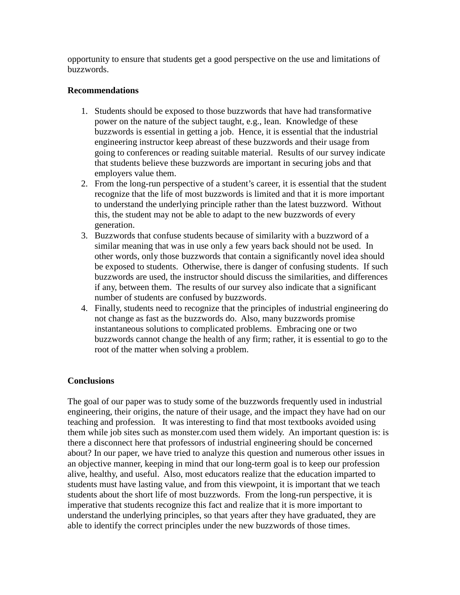opportunity to ensure that students get a good perspective on the use and limitations of buzzwords.

## **Recommendations**

- 1. Students should be exposed to those buzzwords that have had transformative power on the nature of the subject taught, e.g., lean. Knowledge of these buzzwords is essential in getting a job. Hence, it is essential that the industrial engineering instructor keep abreast of these buzzwords and their usage from going to conferences or reading suitable material. Results of our survey indicate that students believe these buzzwords are important in securing jobs and that employers value them.
- 2. From the long-run perspective of a student's career, it is essential that the student recognize that the life of most buzzwords is limited and that it is more important to understand the underlying principle rather than the latest buzzword. Without this, the student may not be able to adapt to the new buzzwords of every generation.
- 3. Buzzwords that confuse students because of similarity with a buzzword of a similar meaning that was in use only a few years back should not be used. In other words, only those buzzwords that contain a significantly novel idea should be exposed to students. Otherwise, there is danger of confusing students. If such buzzwords are used, the instructor should discuss the similarities, and differences if any, between them. The results of our survey also indicate that a significant number of students are confused by buzzwords.
- 4. Finally, students need to recognize that the principles of industrial engineering do not change as fast as the buzzwords do. Also, many buzzwords promise instantaneous solutions to complicated problems. Embracing one or two buzzwords cannot change the health of any firm; rather, it is essential to go to the root of the matter when solving a problem.

# **Conclusions**

The goal of our paper was to study some of the buzzwords frequently used in industrial engineering, their origins, the nature of their usage, and the impact they have had on our teaching and profession. It was interesting to find that most textbooks avoided using them while job sites such as monster.com used them widely. An important question is: is there a disconnect here that professors of industrial engineering should be concerned about? In our paper, we have tried to analyze this question and numerous other issues in an objective manner, keeping in mind that our long-term goal is to keep our profession alive, healthy, and useful. Also, most educators realize that the education imparted to students must have lasting value, and from this viewpoint, it is important that we teach students about the short life of most buzzwords. From the long-run perspective, it is imperative that students recognize this fact and realize that it is more important to understand the underlying principles, so that years after they have graduated, they are able to identify the correct principles under the new buzzwords of those times.